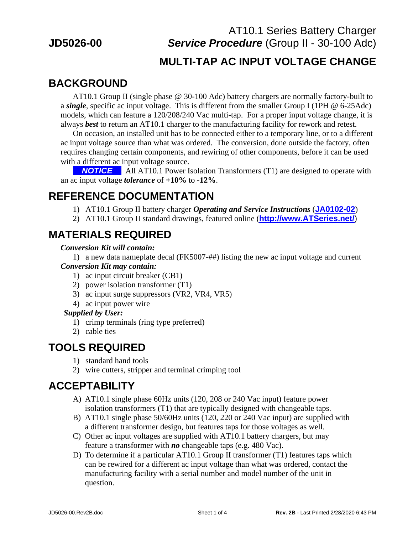# AT10.1 Series Battery Charger **JD5026-00** *Service Procedure* (Group II - 30-100 Adc)

#### **MULTI-TAP AC INPUT VOLTAGE CHANGE**

# **BACKGROUND**

AT10.1 Group II (single phase @ 30-100 Adc) battery chargers are normally factory-built to a *single*, specific ac input voltage. This is different from the smaller Group I (1PH @ 6-25Adc) models, which can feature a 120/208/240 Vac multi-tap. For a proper input voltage change, it is always *best* to return an AT10.1 charger to the manufacturing facility for rework and retest.

 On occasion, an installed unit has to be connected either to a temporary line, or to a different ac input voltage source than what was ordered. The conversion, done outside the factory, often requires changing certain components, and rewiring of other components, before it can be used with a different ac input voltage source.

**.** *NOTICE* . All AT10.1 Power Isolation Transformers (T1) are designed to operate with an ac input voltage *tolerance* of **+10%** to **-12%**.

#### **REFERENCE DOCUMENTATION**

- 1) AT10.1 Group II battery charger *Operating and Service Instructions* (**JA0102-02**)
- 2) AT10.1 Group II standard drawings, featured online (**http://www.ATSeries.net/**)

## **MATERIALS REQUIRED**

#### *Conversion Kit will contain:*

1) a new data nameplate decal (FK5007-##) listing the new ac input voltage and current *Conversion Kit may contain:*

- 1) ac input circuit breaker (CB1)
- 2) power isolation transformer (T1)
- 3) ac input surge suppressors (VR2, VR4, VR5)
- 4) ac input power wire

#### *Supplied by User:*

- 1) crimp terminals (ring type preferred)
- 2) cable ties

#### **TOOLS REQUIRED**

- 1) standard hand tools
- 2) wire cutters, stripper and terminal crimping tool

#### **ACCEPTABILITY**

- A) AT10.1 single phase 60Hz units (120, 208 or 240 Vac input) feature power isolation transformers (T1) that are typically designed with changeable taps.
- B) AT10.1 single phase 50/60Hz units (120, 220 or 240 Vac input) are supplied with a different transformer design, but features taps for those voltages as well.
- C) Other ac input voltages are supplied with AT10.1 battery chargers, but may feature a transformer with *no* changeable taps (e.g. 480 Vac).
- D) To determine if a particular AT10.1 Group II transformer (T1) features taps which can be rewired for a different ac input voltage than what was ordered, contact the manufacturing facility with a serial number and model number of the unit in question.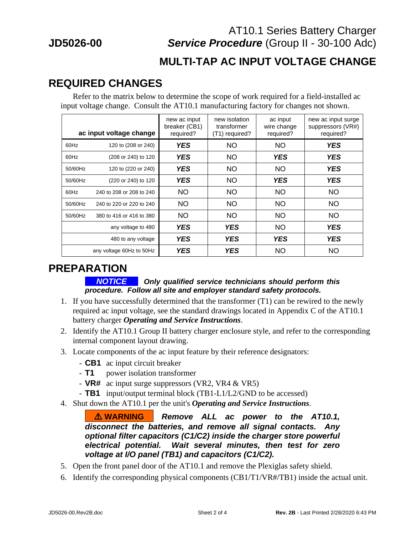# AT10.1 Series Battery Charger **JD5026-00** *Service Procedure* (Group II - 30-100 Adc)

#### **MULTI-TAP AC INPUT VOLTAGE CHANGE**

#### **REQUIRED CHANGES**

 Refer to the matrix below to determine the scope of work required for a field-installed ac input voltage change. Consult the AT10.1 manufacturing factory for changes not shown.

| ac input voltage change |                          | new ac input<br>breaker (CB1)<br>required? | new isolation<br>transformer<br>(T1) required? | ac input<br>wire change<br>required? | new ac input surge<br>suppressors (VR#)<br>required? |
|-------------------------|--------------------------|--------------------------------------------|------------------------------------------------|--------------------------------------|------------------------------------------------------|
| 60Hz                    | 120 to (208 or 240)      | <b>YES</b>                                 | <b>NO</b>                                      | <b>NO</b>                            | <b>YES</b>                                           |
| 60Hz                    | (208 or 240) to 120      | <b>YES</b>                                 | <b>NO</b>                                      | <b>YES</b>                           | <b>YES</b>                                           |
| 50/60Hz                 | 120 to (220 or 240)      | <b>YES</b>                                 | <b>NO</b>                                      | <b>NO</b>                            | <b>YES</b>                                           |
| 50/60Hz                 | (220 or 240) to 120      | <b>YES</b>                                 | <b>NO</b>                                      | <b>YES</b>                           | <b>YES</b>                                           |
| 60Hz                    | 240 to 208 or 208 to 240 | <b>NO</b>                                  | <b>NO</b>                                      | <b>NO</b>                            | <b>NO</b>                                            |
| 50/60Hz                 | 240 to 220 or 220 to 240 | <b>NO</b>                                  | <b>NO</b>                                      | <b>NO</b>                            | <b>NO</b>                                            |
| 50/60Hz                 | 380 to 416 or 416 to 380 | <b>NO</b>                                  | <b>NO</b>                                      | <b>NO</b>                            | <b>NO</b>                                            |
|                         | any voltage to 480       | <b>YES</b>                                 | <b>YES</b>                                     | <b>NO</b>                            | <b>YES</b>                                           |
|                         | 480 to any voltage       | <b>YES</b>                                 | <b>YES</b>                                     | <b>YES</b>                           | <b>YES</b>                                           |
|                         | any voltage 60Hz to 50Hz | <b>YES</b>                                 | <b>YES</b>                                     | <b>NO</b>                            | <b>NO</b>                                            |

#### **PREPARATION**

#### **.** *NOTICE* **.** *Only qualified service technicians should perform this procedure. Follow all site and employer standard safety protocols.*

- 1. If you have successfully determined that the transformer (T1) can be rewired to the newly required ac input voltage, see the standard drawings located in Appendix C of the AT10.1 battery charger *Operating and Service Instructions*.
- 2. Identify the AT10.1 Group II battery charger enclosure style, and refer to the corresponding internal component layout drawing.
- 3. Locate components of the ac input feature by their reference designators:
	- **CB1** ac input circuit breaker
	- **T1** power isolation transformer
	- **VR#** ac input surge suppressors (VR2, VR4 & VR5)
	- **TB1** input/output terminal block (TB1-L1/L2/GND to be accessed)
- 4. Shut down the AT10.1 per the unit's *Operating and Service Instructions*.

**....**!**.WARNING....** *Remove ALL ac power to the AT10.1, disconnect the batteries, and remove all signal contacts. Any optional filter capacitors (C1/C2) inside the charger store powerful electrical potential. Wait several minutes, then test for zero voltage at I/O panel (TB1) and capacitors (C1/C2).* 

- 5. Open the front panel door of the AT10.1 and remove the Plexiglas safety shield.
- 6. Identify the corresponding physical components (CB1/T1/VR#/TB1) inside the actual unit.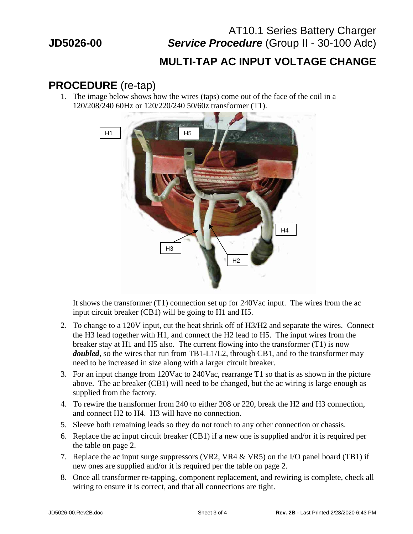# AT10.1 Series Battery Charger **JD5026-00** *Service Procedure* (Group II - 30-100 Adc)

#### **MULTI-TAP AC INPUT VOLTAGE CHANGE**

#### **PROCEDURE** (re-tap)

1. The image below shows how the wires (taps) come out of the face of the coil in a 120/208/240 60Hz or 120/220/240 50/60z transformer (T1).



It shows the transformer (T1) connection set up for 240Vac input. The wires from the ac input circuit breaker (CB1) will be going to H1 and H5.

- 2. To change to a 120V input, cut the heat shrink off of H3/H2 and separate the wires. Connect the H3 lead together with H1, and connect the H2 lead to H5. The input wires from the breaker stay at H1 and H5 also. The current flowing into the transformer (T1) is now *doubled*, so the wires that run from TB1-L1/L2, through CB1, and to the transformer may need to be increased in size along with a larger circuit breaker.
- 3. For an input change from 120Vac to 240Vac, rearrange T1 so that is as shown in the picture above. The ac breaker (CB1) will need to be changed, but the ac wiring is large enough as supplied from the factory.
- 4. To rewire the transformer from 240 to either 208 or 220, break the H2 and H3 connection, and connect H2 to H4. H3 will have no connection.
- 5. Sleeve both remaining leads so they do not touch to any other connection or chassis.
- 6. Replace the ac input circuit breaker (CB1) if a new one is supplied and/or it is required per the table on page 2.
- 7. Replace the ac input surge suppressors (VR2, VR4 & VR5) on the I/O panel board (TB1) if new ones are supplied and/or it is required per the table on page 2.
- 8. Once all transformer re-tapping, component replacement, and rewiring is complete, check all wiring to ensure it is correct, and that all connections are tight.